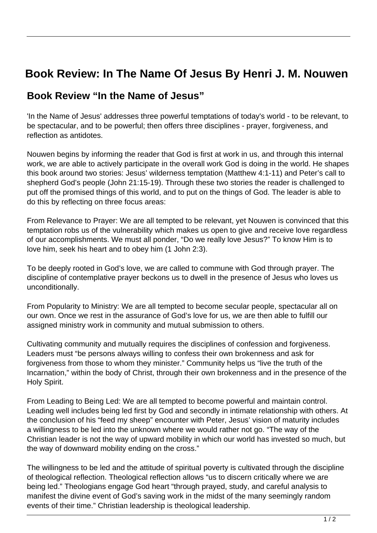## **Book Review: In The Name Of Jesus By Henri J. M. Nouwen**

## **Book Review "In the Name of Jesus"**

'In the Name of Jesus' addresses three powerful temptations of today's world - to be relevant, to be spectacular, and to be powerful; then offers three disciplines - prayer, forgiveness, and reflection as antidotes.

Nouwen begins by informing the reader that God is first at work in us, and through this internal work, we are able to actively participate in the overall work God is doing in the world. He shapes this book around two stories: Jesus' wilderness temptation (Matthew 4:1-11) and Peter's call to shepherd God's people (John 21:15-19). Through these two stories the reader is challenged to put off the promised things of this world, and to put on the things of God. The leader is able to do this by reflecting on three focus areas:

From Relevance to Prayer: We are all tempted to be relevant, yet Nouwen is convinced that this temptation robs us of the vulnerability which makes us open to give and receive love regardless of our accomplishments. We must all ponder, "Do we really love Jesus?" To know Him is to love him, seek his heart and to obey him (1 John 2:3).

To be deeply rooted in God's love, we are called to commune with God through prayer. The discipline of contemplative prayer beckons us to dwell in the presence of Jesus who loves us unconditionally.

From Popularity to Ministry: We are all tempted to become secular people, spectacular all on our own. Once we rest in the assurance of God's love for us, we are then able to fulfill our assigned ministry work in community and mutual submission to others.

Cultivating community and mutually requires the disciplines of confession and forgiveness. Leaders must "be persons always willing to confess their own brokenness and ask for forgiveness from those to whom they minister." Community helps us "live the truth of the Incarnation," within the body of Christ, through their own brokenness and in the presence of the Holy Spirit.

From Leading to Being Led: We are all tempted to become powerful and maintain control. Leading well includes being led first by God and secondly in intimate relationship with others. At the conclusion of his "feed my sheep" encounter with Peter, Jesus' vision of maturity includes a willingness to be led into the unknown where we would rather not go. "The way of the Christian leader is not the way of upward mobility in which our world has invested so much, but the way of downward mobility ending on the cross."

The willingness to be led and the attitude of spiritual poverty is cultivated through the discipline of theological reflection. Theological reflection allows "us to discern critically where we are being led." Theologians engage God heart "through prayed, study, and careful analysis to manifest the divine event of God's saving work in the midst of the many seemingly random events of their time." Christian leadership is theological leadership.